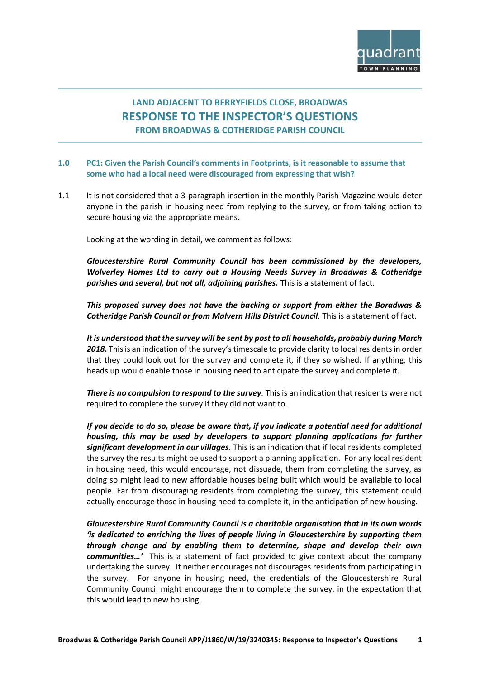

## **LAND ADJACENT TO BERRYFIELDS CLOSE, BROADWAS RESPONSE TO THE INSPECTOR'S QUESTIONS FROM BROADWAS & COTHERIDGE PARISH COUNCIL**

- **1.0 PC1: Given the Parish Council's comments in Footprints, is it reasonable to assume that some who had a local need were discouraged from expressing that wish?**
- 1.1 It is not considered that a 3-paragraph insertion in the monthly Parish Magazine would deter anyone in the parish in housing need from replying to the survey, or from taking action to secure housing via the appropriate means.

Looking at the wording in detail, we comment as follows:

*Gloucestershire Rural Community Council has been commissioned by the developers, Wolverley Homes Ltd to carry out a Housing Needs Survey in Broadwas & Cotheridge parishes and several, but not all, adjoining parishes.* This is a statement of fact.

*This proposed survey does not have the backing or support from either the Boradwas & Cotheridge Parish Council or from Malvern Hills District Council.* This is a statement of fact.

*It is understood that the survey will be sent by post to all households, probably during March*  2018. This is an indication of the survey's timescale to provide clarity to local residents in order that they could look out for the survey and complete it, if they so wished. If anything, this heads up would enable those in housing need to anticipate the survey and complete it.

*There is no compulsion to respond to the survey.* This is an indication that residents were not required to complete the survey if they did not want to.

*If you decide to do so, please be aware that, if you indicate a potential need for additional housing, this may be used by developers to support planning applications for further significant development in our villages.* This is an indication that if local residents completed the survey the results might be used to support a planning application. For any local resident in housing need, this would encourage, not dissuade, them from completing the survey, as doing so might lead to new affordable houses being built which would be available to local people. Far from discouraging residents from completing the survey, this statement could actually encourage those in housing need to complete it, in the anticipation of new housing.

*Gloucestershire Rural Community Council is a charitable organisation that in its own words 'is dedicated to enriching the lives of people living in Gloucestershire by supporting them through change and by enabling them to determine, shape and develop their own communities…'* This is a statement of fact provided to give context about the company undertaking the survey. It neither encourages not discourages residents from participating in the survey. For anyone in housing need, the credentials of the Gloucestershire Rural Community Council might encourage them to complete the survey, in the expectation that this would lead to new housing.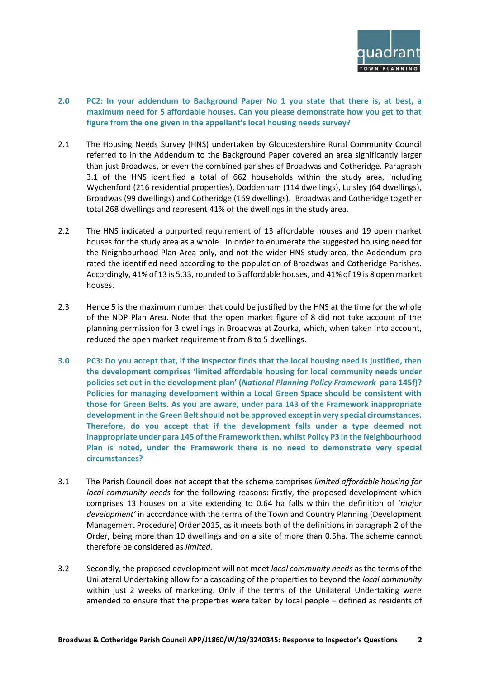

- **2.0 PC2: In your addendum to Background Paper No 1 you state that there is, at best, a maximum need for 5 affordable houses. Can you please demonstrate how you get to that figure from the one given in the appellant's local housing needs survey?**
- 2.1 The Housing Needs Survey (HNS) undertaken by Gloucestershire Rural Community Council referred to in the Addendum to the Background Paper covered an area significantly larger than just Broadwas, or even the combined parishes of Broadwas and Cotheridge. Paragraph 3.1 of the HNS identified a total of 662 households within the study area, including Wychenford (216 residential properties), Doddenham (114 dwellings), Lulsley (64 dwellings), Broadwas (99 dwellings) and Cotheridge (169 dwellings). Broadwas and Cotheridge together total 268 dwellings and represent 41% of the dwellings in the study area.
- 2.2 The HNS indicated a purported requirement of 13 affordable houses and 19 open market houses for the study area as a whole. In order to enumerate the suggested housing need for the Neighbourhood Plan Area only, and not the wider HNS study area, the Addendum pro rated the identified need according to the population of Broadwas and Cotheridge Parishes. Accordingly, 41% of 13 is 5.33, rounded to 5 affordable houses, and 41% of 19 is 8 open market houses.
- 2.3 Hence 5 is the maximum number that could be justified by the HNS at the time for the whole of the NDP Plan Area. Note that the open market figure of 8 did not take account of the planning permission for 3 dwellings in Broadwas at Zourka, which, when taken into account, reduced the open market requirement from 8 to 5 dwellings.
- **3.0 PC3: Do you accept that, if the Inspector finds that the local housing need is justified, then the development comprises 'limited affordable housing for local community needs under policies set out in the development plan' (***National Planning Policy Framework* **para 145f)? Policies for managing development within a Local Green Space should be consistent with those for Green Belts. As you are aware, under para 143 of the Framework inappropriate development in the Green Belt should not be approved except in very special circumstances. Therefore, do you accept that if the development falls under a type deemed not inappropriate under para 145 of the Framework then, whilst Policy P3 in the Neighbourhood Plan is noted, under the Framework there is no need to demonstrate very special circumstances?**
- 3.1 The Parish Council does not accept that the scheme comprises *limited affordable housing for local community needs* for the following reasons: firstly, the proposed development which comprises 13 houses on a site extending to 0.64 ha falls within the definition of '*major development'* in accordance with the terms of the Town and Country Planning (Development Management Procedure) Order 2015, as it meets both of the definitions in paragraph 2 of the Order, being more than 10 dwellings and on a site of more than 0.5ha. The scheme cannot therefore be considered as *limited.*
- 3.2 Secondly, the proposed development will not meet *local community needs* as the terms of the Unilateral Undertaking allow for a cascading of the properties to beyond the *local community* within just 2 weeks of marketing. Only if the terms of the Unilateral Undertaking were amended to ensure that the properties were taken by local people – defined as residents of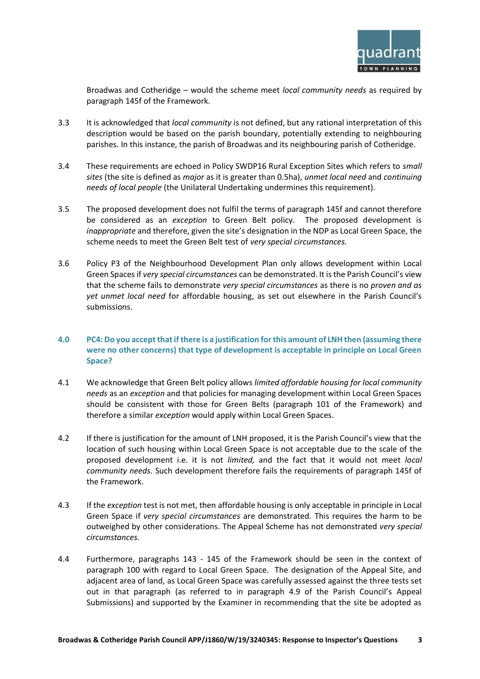

Broadwas and Cotheridge – would the scheme meet *local community needs* as required by paragraph 145f of the Framework.

- 3.3 It is acknowledged that *local community* is not defined, but any rational interpretation of this description would be based on the parish boundary, potentially extending to neighbouring parishes. In this instance, the parish of Broadwas and its neighbouring parish of Cotheridge.
- 3.4 These requirements are echoed in Policy SWDP16 Rural Exception Sites which refers to *small sites* (the site is defined as *major* as it is greater than 0.5ha), *unmet local need* and *continuing needs of local people* (the Unilateral Undertaking undermines this requirement).
- 3.5 The proposed development does not fulfil the terms of paragraph 145f and cannot therefore be considered as an *exception* to Green Belt policy. The proposed development is *inappropriate* and therefore, given the site's designation in the NDP as Local Green Space, the scheme needs to meet the Green Belt test of *very special circumstances.*
- 3.6 Policy P3 of the Neighbourhood Development Plan only allows development within Local Green Spaces if *very special circumstances* can be demonstrated. It is the Parish Council's view that the scheme fails to demonstrate *very special circumstances* as there is no *proven and as yet unmet local need* for affordable housing, as set out elsewhere in the Parish Council's submissions.
- **4.0 PC4: Do you accept that if there is a justification for this amount of LNH then (assuming there were no other concerns) that type of development is acceptable in principle on Local Green Space?**
- 4.1 We acknowledge that Green Belt policy allows *limited affordable housing for local community needs* as an *exception* and that policies for managing development within Local Green Spaces should be consistent with those for Green Belts (paragraph 101 of the Framework) and therefore a similar *exception* would apply within Local Green Spaces.
- 4.2 If there is justification for the amount of LNH proposed, it is the Parish Council's view that the location of such housing within Local Green Space is not acceptable due to the scale of the proposed development i.e. it is not *limited,* and the fact that it would not meet *local community needs.* Such development therefore fails the requirements of paragraph 145f of the Framework.
- 4.3 If the *exception* test is not met, then affordable housing is only acceptable in principle in Local Green Space if *very special circumstances* are demonstrated*.* This requires the harm to be outweighed by other considerations. The Appeal Scheme has not demonstrated *very special circumstances.*
- 4.4 Furthermore, paragraphs 143 145 of the Framework should be seen in the context of paragraph 100 with regard to Local Green Space. The designation of the Appeal Site, and adjacent area of land, as Local Green Space was carefully assessed against the three tests set out in that paragraph (as referred to in paragraph 4.9 of the Parish Council's Appeal Submissions) and supported by the Examiner in recommending that the site be adopted as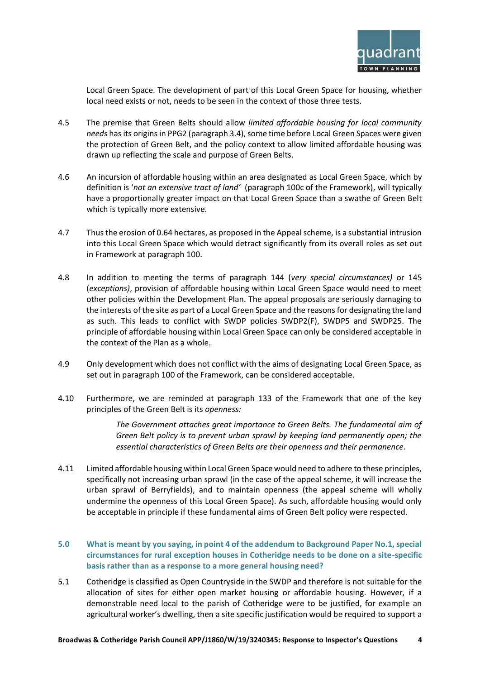

Local Green Space. The development of part of this Local Green Space for housing, whether local need exists or not, needs to be seen in the context of those three tests.

- 4.5 The premise that Green Belts should allow *limited affordable housing for local community needs* has its origins in PPG2 (paragraph 3.4), some time before Local Green Spaces were given the protection of Green Belt, and the policy context to allow limited affordable housing was drawn up reflecting the scale and purpose of Green Belts.
- 4.6 An incursion of affordable housing within an area designated as Local Green Space, which by definition is '*not an extensive tract of land'* (paragraph 100c of the Framework), will typically have a proportionally greater impact on that Local Green Space than a swathe of Green Belt which is typically more extensive.
- 4.7 Thusthe erosion of 0.64 hectares, as proposed in the Appeal scheme, is a substantial intrusion into this Local Green Space which would detract significantly from its overall roles as set out in Framework at paragraph 100.
- 4.8 In addition to meeting the terms of paragraph 144 (*very special circumstances)* or 145 (*exceptions)*, provision of affordable housing within Local Green Space would need to meet other policies within the Development Plan. The appeal proposals are seriously damaging to the interests of the site as part of a Local Green Space and the reasons for designating the land as such. This leads to conflict with SWDP policies SWDP2(F), SWDP5 and SWDP25. The principle of affordable housing within Local Green Space can only be considered acceptable in the context of the Plan as a whole.
- 4.9 Only development which does not conflict with the aims of designating Local Green Space, as set out in paragraph 100 of the Framework, can be considered acceptable.
- 4.10 Furthermore, we are reminded at paragraph 133 of the Framework that one of the key principles of the Green Belt is its *openness:*

*The Government attaches great importance to Green Belts. The fundamental aim of Green Belt policy is to prevent urban sprawl by keeping land permanently open; the essential characteristics of Green Belts are their openness and their permanence*.

- 4.11 Limited affordable housing within Local Green Space would need to adhere to these principles, specifically not increasing urban sprawl (in the case of the appeal scheme, it will increase the urban sprawl of Berryfields), and to maintain openness (the appeal scheme will wholly undermine the openness of this Local Green Space). As such, affordable housing would only be acceptable in principle if these fundamental aims of Green Belt policy were respected.
- **5.0 What is meant by you saying, in point 4 of the addendum to Background Paper No.1, special circumstances for rural exception houses in Cotheridge needs to be done on a site-specific basis rather than as a response to a more general housing need?**
- 5.1 Cotheridge is classified as Open Countryside in the SWDP and therefore is not suitable for the allocation of sites for either open market housing or affordable housing. However, if a demonstrable need local to the parish of Cotheridge were to be justified, for example an agricultural worker's dwelling, then a site specific justification would be required to support a